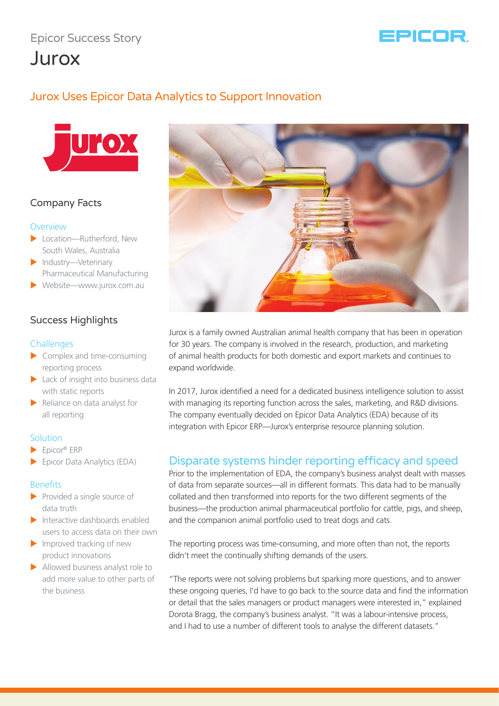# Epicor Success Story



# Jurox

# Jurox Uses Epicor Data Analytics to Support Innovation



## Company Facts

#### **Overview**

- $\blacktriangleright$  Location—Rutherford, New South Wales, Australia
- $\blacktriangleright$  Industry—Veterinary Pharmaceutical Manufacturing
- $\blacktriangleright$  Website—www.jurox.com.au

## Success Highlights

#### **Challenges**

- $\triangleright$  Complex and time-consuming reporting process
- $\blacktriangleright$  Lack of insight into business data with static reports
- $\blacktriangleright$  Reliance on data analyst for all reporting

#### **Solution**

- $\blacktriangleright$  Epicor® ERP
- $\blacktriangleright$  Epicor Data Analytics (EDA)

#### Benefits

- $\blacktriangleright$  Provided a single source of data truth
- $\blacktriangleright$  Interactive dashboards enabled users to access data on their own
- $\blacktriangleright$  Improved tracking of new product innovations
- $\blacktriangleright$  Allowed business analyst role to add more value to other parts of the business



Jurox is a family owned Australian animal health company that has been in operation for 30 years. The company is involved in the research, production, and marketing of animal health products for both domestic and export markets and continues to expand worldwide.

In 2017, Jurox identified a need for a dedicated business intelligence solution to assist with managing its reporting function across the sales, marketing, and R&D divisions. The company eventually decided on Epicor Data Analytics (EDA) because of its integration with Epicor ERP—Jurox's enterprise resource planning solution.

# Disparate systems hinder reporting efficacy and speed

Prior to the implementation of EDA, the company's business analyst dealt with masses of data from separate sources—all in different formats. This data had to be manually collated and then transformed into reports for the two different segments of the business—the production animal pharmaceutical portfolio for cattle, pigs, and sheep, and the companion animal portfolio used to treat dogs and cats.

The reporting process was time-consuming, and more often than not, the reports didn't meet the continually shifting demands of the users.

"The reports were not solving problems but sparking more questions, and to answer these ongoing queries, I'd have to go back to the source data and find the information or detail that the sales managers or product managers were interested in," explained Dorota Bragg, the company's business analyst. "It was a labour-intensive process, and I had to use a number of different tools to analyse the different datasets."